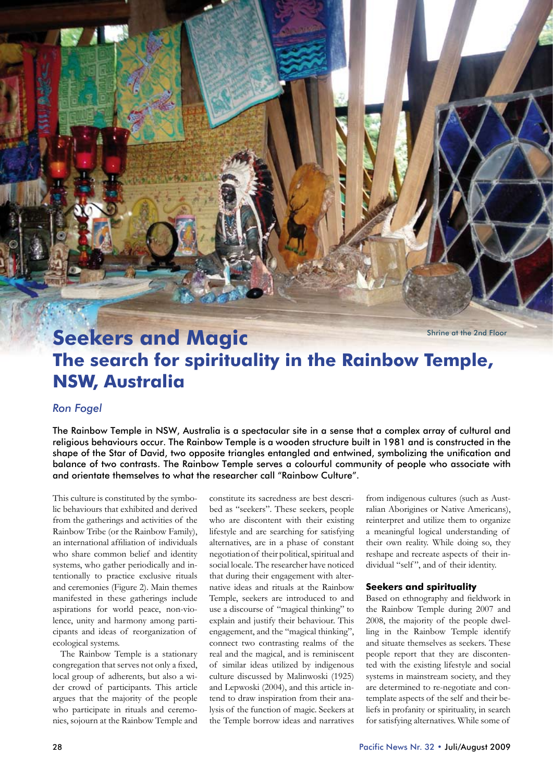Shrine at the 2nd Floor

# **Seekers and Magic The search for spirituality in the Rainbow Temple, NSW, Australia**

# *Ron Fogel*

The Rainbow Temple in NSW, Australia is a spectacular site in a sense that a complex array of cultural and religious behaviours occur. The Rainbow Temple is a wooden structure built in 1981 and is constructed in the shape of the Star of David, two opposite triangles entangled and entwined, symbolizing the unification and balance of two contrasts. The Rainbow Temple serves a colourful community of people who associate with and orientate themselves to what the researcher call "Rainbow Culture".

This culture is constituted by the symbolic behaviours that exhibited and derived from the gatherings and activities of the Rainbow Tribe (or the Rainbow Family), an international affiliation of individuals who share common belief and identity systems, who gather periodically and intentionally to practice exclusive rituals and ceremonies (Figure 2). Main themes manifested in these gatherings include aspirations for world peace, non-violence, unity and harmony among participants and ideas of reorganization of ecological systems.

The Rainbow Temple is a stationary congregation that serves not only a fixed, local group of adherents, but also a wider crowd of participants. This article argues that the majority of the people who participate in rituals and ceremonies, sojourn at the Rainbow Temple and

constitute its sacredness are best described as "seekers". These seekers, people who are discontent with their existing lifestyle and are searching for satisfying alternatives, are in a phase of constant negotiation of their political, spiritual and social locale. The researcher have noticed that during their engagement with alternative ideas and rituals at the Rainbow Temple, seekers are introduced to and use a discourse of "magical thinking" to explain and justify their behaviour. This engagement, and the "magical thinking", connect two contrasting realms of the real and the magical, and is reminiscent of similar ideas utilized by indigenous culture discussed by Malinwoski (1925) and Lepwoski (2004), and this article intend to draw inspiration from their analysis of the function of magic. Seekers at the Temple borrow ideas and narratives

from indigenous cultures (such as Australian Aborigines or Native Americans), reinterpret and utilize them to organize a meaningful logical understanding of their own reality. While doing so, they reshape and recreate aspects of their individual "self", and of their identity.

### **Seekers and spirituality**

Based on ethnography and fieldwork in the Rainbow Temple during 2007 and 2008, the majority of the people dwelling in the Rainbow Temple identify and situate themselves as seekers. These people report that they are discontented with the existing lifestyle and social systems in mainstream society, and they are determined to re-negotiate and contemplate aspects of the self and their beliefs in profanity or spirituality, in search for satisfying alternatives. While some of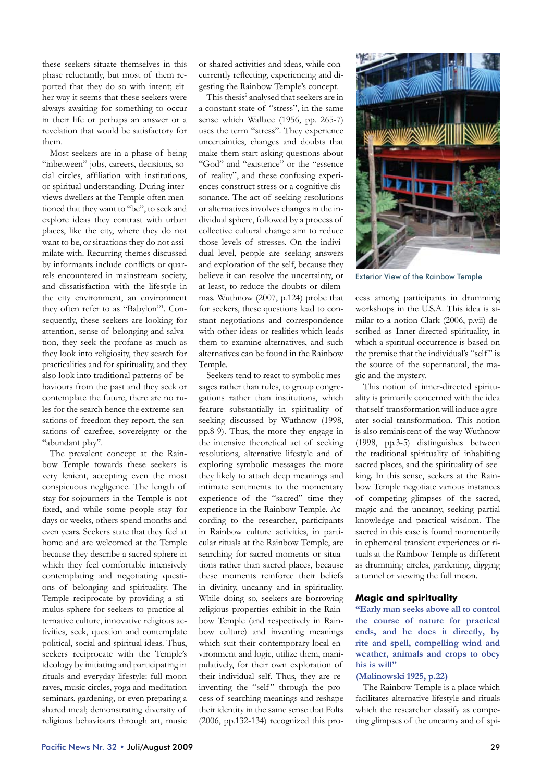these seekers situate themselves in this phase reluctantly, but most of them reported that they do so with intent; either way it seems that these seekers were always awaiting for something to occur in their life or perhaps an answer or a revelation that would be satisfactory for them.

Most seekers are in a phase of being "inbetween" jobs, careers, decisions, social circles, affiliation with institutions, or spiritual understanding. During interviews dwellers at the Temple often mentioned that they want to "be", to seek and explore ideas they contrast with urban places, like the city, where they do not want to be, or situations they do not assimilate with. Recurring themes discussed by informants include conflicts or quarrels encountered in mainstream society, and dissatisfaction with the lifestyle in the city environment, an environment they often refer to as "Babylon"1 . Consequently, these seekers are looking for attention, sense of belonging and salvation, they seek the profane as much as they look into religiosity, they search for practicalities and for spirituality, and they also look into traditional patterns of behaviours from the past and they seek or contemplate the future, there are no rules for the search hence the extreme sensations of freedom they report, the sensations of carefree, sovereignty or the "abundant play".

The prevalent concept at the Rainbow Temple towards these seekers is very lenient, accepting even the most conspicuous negligence. The length of stay for sojourners in the Temple is not fixed, and while some people stay for days or weeks, others spend months and even years. Seekers state that they feel at home and are welcomed at the Temple because they describe a sacred sphere in which they feel comfortable intensively contemplating and negotiating questions of belonging and spirituality. The Temple reciprocate by providing a stimulus sphere for seekers to practice alternative culture, innovative religious activities, seek, question and contemplate political, social and spiritual ideas. Thus, seekers reciprocate with the Temple's ideology by initiating and participating in rituals and everyday lifestyle: full moon raves, music circles, yoga and meditation seminars, gardening, or even preparing a shared meal; demonstrating diversity of religious behaviours through art, music

or shared activities and ideas, while concurrently reflecting, experiencing and digesting the Rainbow Temple's concept.

This thesis<sup>2</sup> analysed that seekers are in a constant state of "stress", in the same sense which Wallace (1956, pp. 265-7) uses the term "stress". They experience uncertainties, changes and doubts that make them start asking questions about "God" and "existence" or the "essence of reality", and these confusing experiences construct stress or a cognitive dissonance. The act of seeking resolutions or alternatives involves changes in the individual sphere, followed by a process of collective cultural change aim to reduce those levels of stresses. On the individual level, people are seeking answers and exploration of the self, because they believe it can resolve the uncertainty, or at least, to reduce the doubts or dilemmas. Wuthnow (2007, p.124) probe that for seekers, these questions lead to constant negotiations and correspondence with other ideas or realities which leads them to examine alternatives, and such alternatives can be found in the Rainbow Temple.

Seekers tend to react to symbolic messages rather than rules, to group congregations rather than institutions, which feature substantially in spirituality of seeking discussed by Wuthnow (1998, pp.8-9). Thus, the more they engage in the intensive theoretical act of seeking resolutions, alternative lifestyle and of exploring symbolic messages the more they likely to attach deep meanings and intimate sentiments to the momentary experience of the "sacred" time they experience in the Rainbow Temple. According to the researcher, participants in Rainbow culture activities, in particular rituals at the Rainbow Temple, are searching for sacred moments or situations rather than sacred places, because these moments reinforce their beliefs in divinity, uncanny and in spirituality. While doing so, seekers are borrowing religious properties exhibit in the Rainbow Temple (and respectively in Rainbow culture) and inventing meanings which suit their contemporary local environment and logic, utilize them, manipulatively, for their own exploration of their individual self. Thus, they are reinventing the "self" through the process of searching meanings and reshape their identity in the same sense that Folts (2006, pp.132-134) recognized this pro-



Exterior View of the Rainbow Temple

cess among participants in drumming workshops in the U.S.A. This idea is similar to a notion Clark (2006, p.vii) described as Inner-directed spirituality, in which a spiritual occurrence is based on the premise that the individual's "self" is the source of the supernatural, the magic and the mystery.

This notion of inner-directed spirituality is primarily concerned with the idea that self-transformation will induce a greater social transformation. This notion is also reminiscent of the way Wuthnow (1998, pp.3-5) distinguishes between the traditional spirituality of inhabiting sacred places, and the spirituality of seeking. In this sense, seekers at the Rainbow Temple negotiate various instances of competing glimpses of the sacred, magic and the uncanny, seeking partial knowledge and practical wisdom. The sacred in this case is found momentarily in ephemeral transient experiences or rituals at the Rainbow Temple as different as drumming circles, gardening, digging a tunnel or viewing the full moon.

# **Magic and spirituality**

**"Early man seeks above all to control the course of nature for practical ends, and he does it directly, by rite and spell, compelling wind and weather, animals and crops to obey his is will"** 

## **(Malinowski 1925, p.22)**

The Rainbow Temple is a place which facilitates alternative lifestyle and rituals which the researcher classify as competing glimpses of the uncanny and of spi-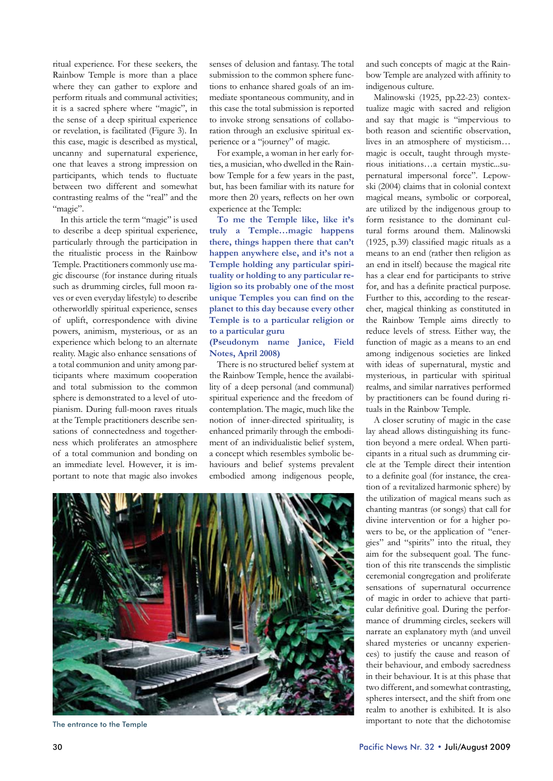ritual experience. For these seekers, the Rainbow Temple is more than a place where they can gather to explore and perform rituals and communal activities; it is a sacred sphere where "magic", in the sense of a deep spiritual experience or revelation, is facilitated (Figure 3). In this case, magic is described as mystical, uncanny and supernatural experience, one that leaves a strong impression on participants, which tends to fluctuate between two different and somewhat contrasting realms of the "real" and the "magic".

In this article the term "magic" is used to describe a deep spiritual experience, particularly through the participation in the ritualistic process in the Rainbow Temple. Practitioners commonly use magic discourse (for instance during rituals such as drumming circles, full moon raves or even everyday lifestyle) to describe otherworldly spiritual experience, senses of uplift, correspondence with divine powers, animism, mysterious, or as an experience which belong to an alternate reality. Magic also enhance sensations of a total communion and unity among participants where maximum cooperation and total submission to the common sphere is demonstrated to a level of utopianism. During full-moon raves rituals at the Temple practitioners describe sensations of connectedness and togetherness which proliferates an atmosphere of a total communion and bonding on an immediate level. However, it is important to note that magic also invokes

senses of delusion and fantasy. The total submission to the common sphere functions to enhance shared goals of an immediate spontaneous community, and in this case the total submission is reported to invoke strong sensations of collaboration through an exclusive spiritual experience or a "journey" of magic.

For example, a woman in her early forties, a musician, who dwelled in the Rainbow Temple for a few years in the past, but, has been familiar with its nature for more then 20 years, reflects on her own experience at the Temple:

**To me the Temple like, like it's truly a Temple…magic happens there, things happen there that can't happen anywhere else, and it's not a Temple holding any particular spirituality or holding to any particular religion so its probably one of the most unique Temples you can find on the planet to this day because every other Temple is to a particular religion or to a particular guru**

## **(Pseudonym name Janice, Field Notes, April 2008)**

There is no structured belief system at the Rainbow Temple, hence the availability of a deep personal (and communal) spiritual experience and the freedom of contemplation. The magic, much like the notion of inner-directed spirituality, is enhanced primarily through the embodiment of an individualistic belief system, a concept which resembles symbolic behaviours and belief systems prevalent embodied among indigenous people, and such concepts of magic at the Rainbow Temple are analyzed with affinity to indigenous culture.

Malinowski (1925, pp.22-23) contextualize magic with sacred and religion and say that magic is "impervious to both reason and scientific observation, lives in an atmosphere of mysticism… magic is occult, taught through mysterious initiations…a certain mystic...supernatural impersonal force". Lepowski (2004) claims that in colonial context magical means, symbolic or corporeal, are utilized by the indigenous group to form resistance to the dominant cultural forms around them. Malinowski (1925, p.39) classified magic rituals as a means to an end (rather then religion as an end in itself) because the magical rite has a clear end for participants to strive for, and has a definite practical purpose. Further to this, according to the researcher, magical thinking as constituted in the Rainbow Temple aims directly to reduce levels of stress. Either way, the function of magic as a means to an end among indigenous societies are linked with ideas of supernatural, mystic and mysterious, in particular with spiritual realms, and similar narratives performed by practitioners can be found during rituals in the Rainbow Temple.

A closer scrutiny of magic in the case lay ahead allows distinguishing its function beyond a mere ordeal. When participants in a ritual such as drumming circle at the Temple direct their intention to a definite goal (for instance, the creation of a revitalized harmonic sphere) by the utilization of magical means such as chanting mantras (or songs) that call for divine intervention or for a higher powers to be, or the application of "energies" and "spirits" into the ritual, they aim for the subsequent goal. The function of this rite transcends the simplistic ceremonial congregation and proliferate sensations of supernatural occurrence of magic in order to achieve that particular definitive goal. During the performance of drumming circles, seekers will narrate an explanatory myth (and unveil shared mysteries or uncanny experiences) to justify the cause and reason of their behaviour, and embody sacredness in their behaviour. It is at this phase that two different, and somewhat contrasting, spheres intersect, and the shift from one realm to another is exhibited. It is also important to note that the dichotomise



The entrance to the Temple